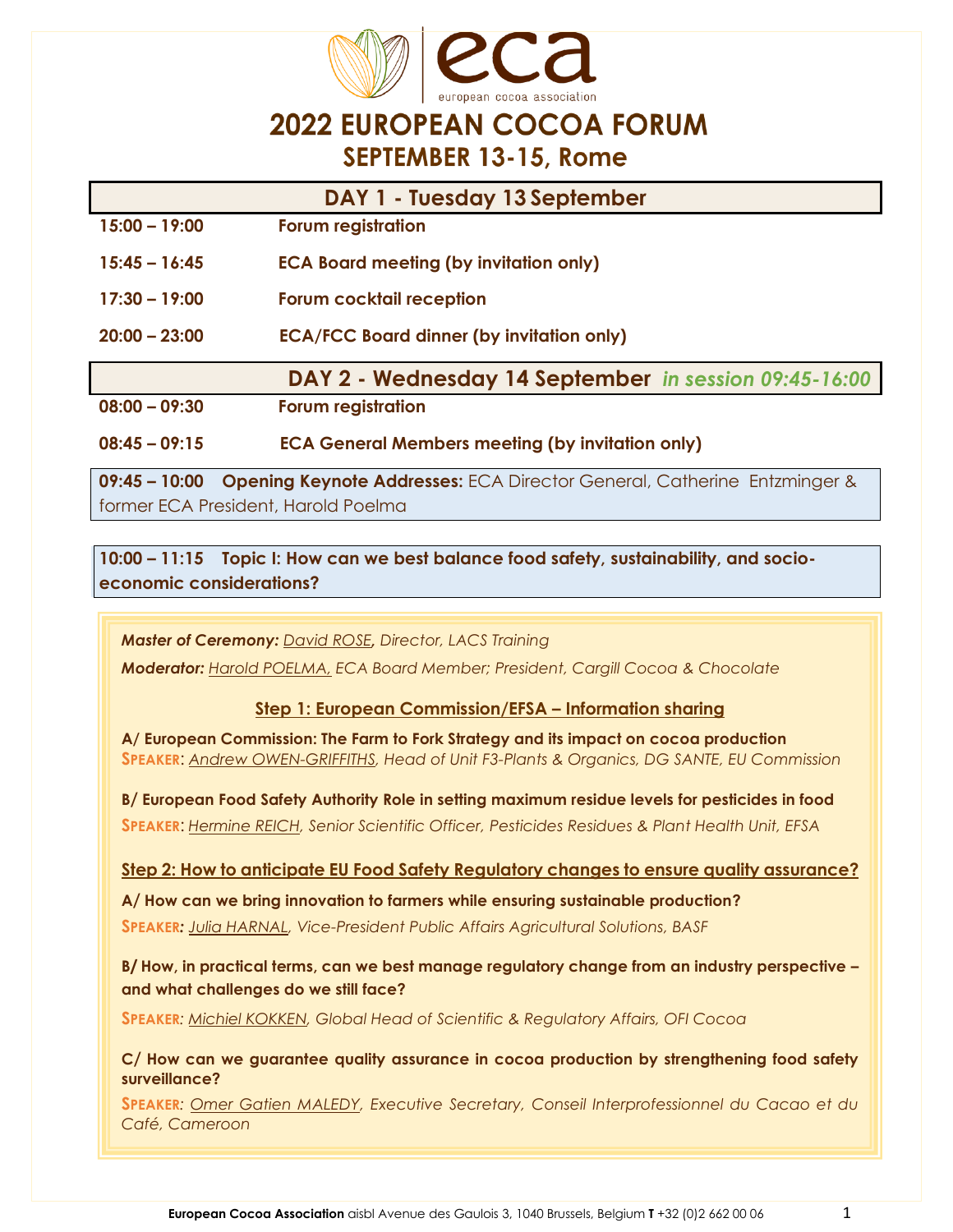

### **2022 EUROPEAN COCOA FORUM SEPTEMBER 13-15, Rome**

| DAY 1 - Tuesday 13 September |                                                         |
|------------------------------|---------------------------------------------------------|
| $15:00 - 19:00$              | <b>Forum registration</b>                               |
| $15:45 - 16:45$              | <b>ECA Board meeting (by invitation only)</b>           |
| $17:30 - 19:00$              | <b>Forum cocktail reception</b>                         |
| $20:00 - 23:00$              | <b>ECA/FCC Board dinner (by invitation only)</b>        |
|                              | DAY 2 - Wednesday 14 September in session 09:45-16:00   |
| $08:00 - 09:30$              | <b>Forum registration</b>                               |
| $08:45 - 09:15$              | <b>ECA General Members meeting (by invitation only)</b> |

**09:45 – 10:00 Opening Keynote Addresses:** ECA Director General, Catherine Entzminger & former ECA President, Harold Poelma

**10:00 – 11:15 Topic I: How can we best balance food safety, sustainability, and socioeconomic considerations?**

*Master of Ceremony: David ROSE, Director, LACS Training*

*Moderator: Harold POELMA, ECA Board Member; President, Cargill Cocoa & Chocolate*

#### **Step 1: European Commission/EFSA – Information sharing**

**A/ European Commission: The Farm to Fork Strategy and its impact on cocoa production SPEAKER**: *Andrew OWEN-GRIFFITHS, Head of Unit F3-Plants & Organics, DG SANTE, EU Commission*

**B/ European Food Safety Authority Role in setting maximum residue levels for pesticides in food SPEAKER**: *Hermine REICH, Senior Scientific Officer, Pesticides Residues & Plant Health Unit, EFSA*

**Step 2: How to anticipate EU Food Safety Regulatory changes to ensure quality assurance?**

**A/ How can we bring innovation to farmers while ensuring sustainable production? SPEAKER***: Julia HARNAL, Vice-President Public Affairs Agricultural Solutions, BASF*

**B/ How, in practical terms, can we best manage regulatory change from an industry perspective – and what challenges do we still face?**

**SPEAKER***: Michiel KOKKEN, Global Head of Scientific & Regulatory Affairs, OFI Cocoa*

**C/ How can we guarantee quality assurance in cocoa production by strengthening food safety surveillance?**

**SPEAKER***: Omer Gatien MALEDY, Executive Secretary, Conseil Interprofessionnel du Cacao et du Café, Cameroon*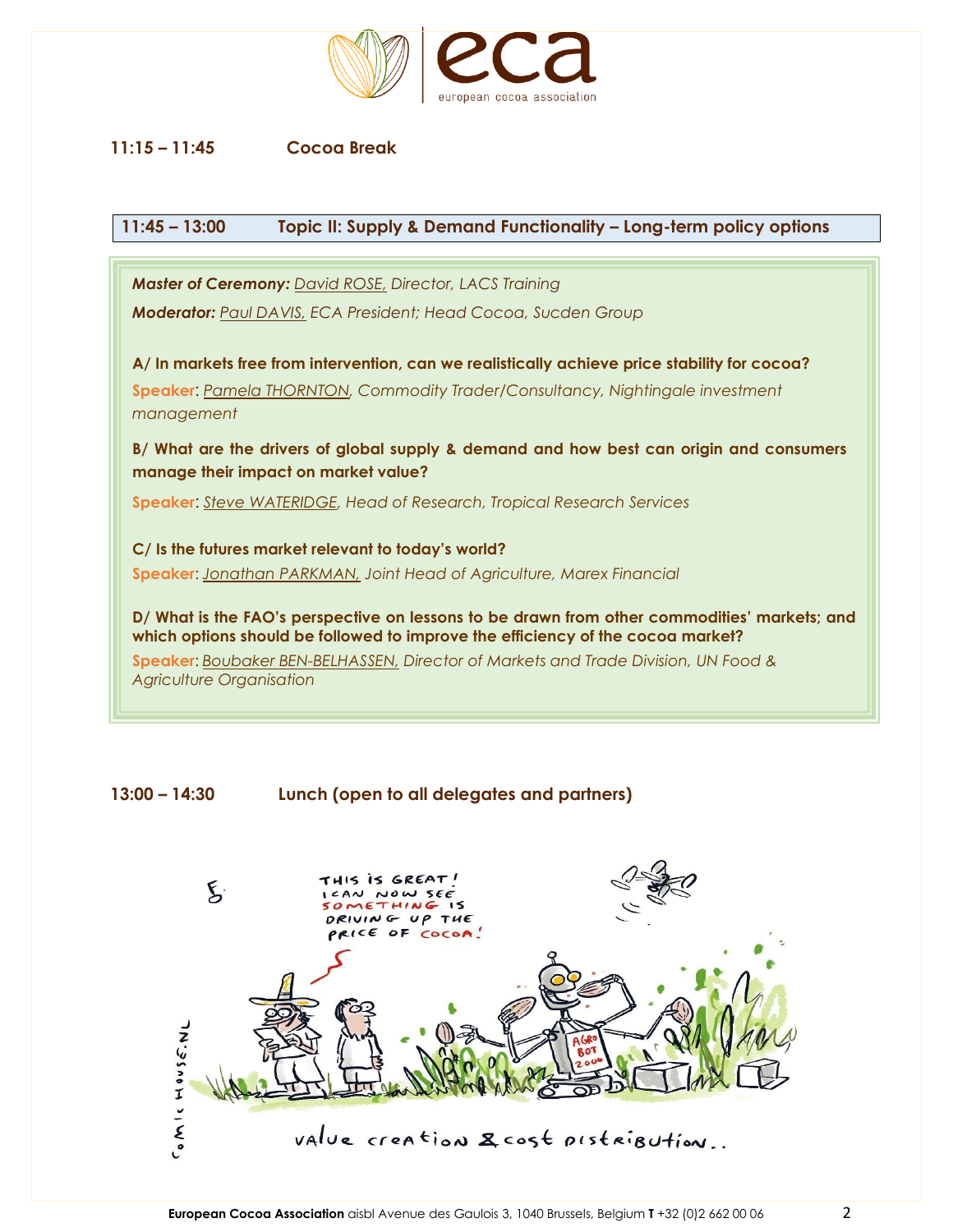

#### **11:15 – 11:45 Cocoa Break**

#### **11:45 – 13:00 Topic II: Supply & Demand Functionality – Long-term policy options**

*Master of Ceremony: David ROSE, Director, LACS Training Moderator: Paul DAVIS, ECA President; Head Cocoa, Sucden Group* **A/ In markets free from intervention, can we realistically achieve price stability for cocoa? Speaker**: *Pamela THORNTON, Commodity Trader/Consultancy, Nightingale investment management* **B/ What are the drivers of global supply & demand and how best can origin and consumers manage their impact on market value? Speaker**: *Steve WATERIDGE, Head of Research, Tropical Research Services* **C/ Is the futures market relevant to today's world? Speaker**: *Jonathan PARKMAN, Joint Head of Agriculture, Marex Financial* **D/ What is the FAO's perspective on lessons to be drawn from other commodities' markets; and which options should be followed to improve the efficiency of the cocoa market? Speaker**: *Boubaker BEN-BELHASSEN, Director of Markets and Trade Division, UN Food & Agriculture Organisation*

**13:00 – 14:30 Lunch (open to all delegates and partners)**

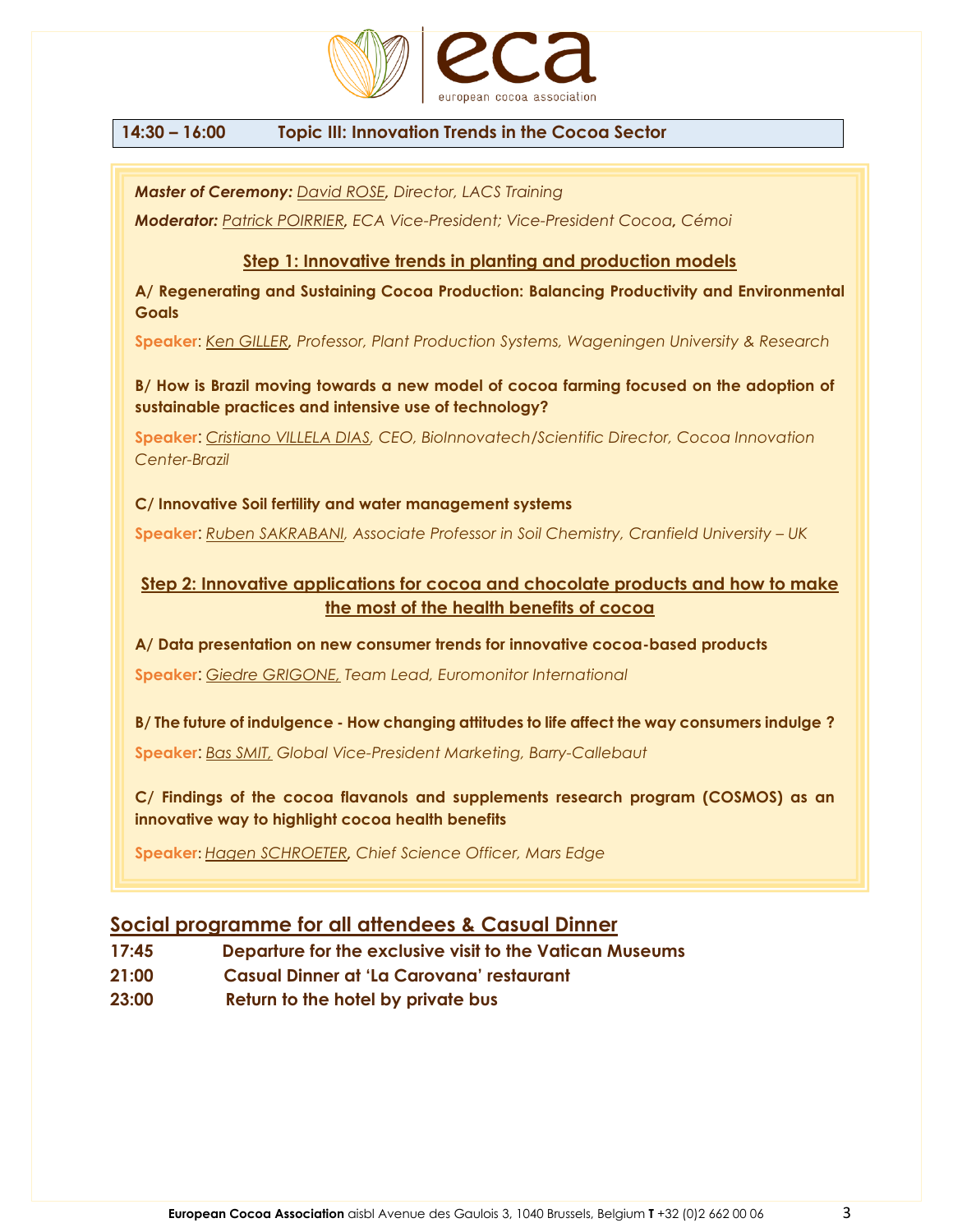

#### **14:30 – 16:00 Topic III: Innovation Trends in the Cocoa Sector**

*Master of Ceremony: David ROSE, Director, LACS Training*

*Moderator: Patrick POIRRIER, ECA Vice-President; Vice-President Cocoa, Cémoi*

#### **Step 1: Innovative trends in planting and production models**

**A/ Regenerating and Sustaining Cocoa Production: Balancing Productivity and Environmental Goals**

**Speaker**: *Ken GILLER, Professor, Plant Production Systems, Wageningen University & Research*

**B/ How is Brazil moving towards a new model of cocoa farming focused on the adoption of sustainable practices and intensive use of technology?**

**Speaker**: *Cristiano VILLELA DIAS, CEO, BioInnovatech/Scientific Director, Cocoa Innovation Center-Brazil*

**C/ Innovative Soil fertility and water management systems** 

**Speaker**: *Ruben SAKRABANI, Associate Professor in Soil Chemistry, Cranfield University – UK*

#### **Step 2: Innovative applications for cocoa and chocolate products and how to make the most of the health benefits of cocoa**

**A/ Data presentation on new consumer trends for innovative cocoa-based products Speaker**: *Giedre GRIGONE, Team Lead, Euromonitor International*

**B/ The future of indulgence - How changing attitudes to life affect the way consumers indulge ? Speaker**: *Bas SMIT, Global Vice-President Marketing, Barry-Callebaut*

**C/ Findings of the cocoa flavanols and supplements research program (COSMOS) as an innovative way to highlight cocoa health benefits**

**Speaker**: *Hagen SCHROETER, Chief Science Officer, Mars Edge*

#### **Social programme for all attendees & Casual Dinner**

- **17:45 Departure for the exclusive visit to the Vatican Museums**
- **21:00 Casual Dinner at 'La Carovana' restaurant**
- **23:00 Return to the hotel by private bus**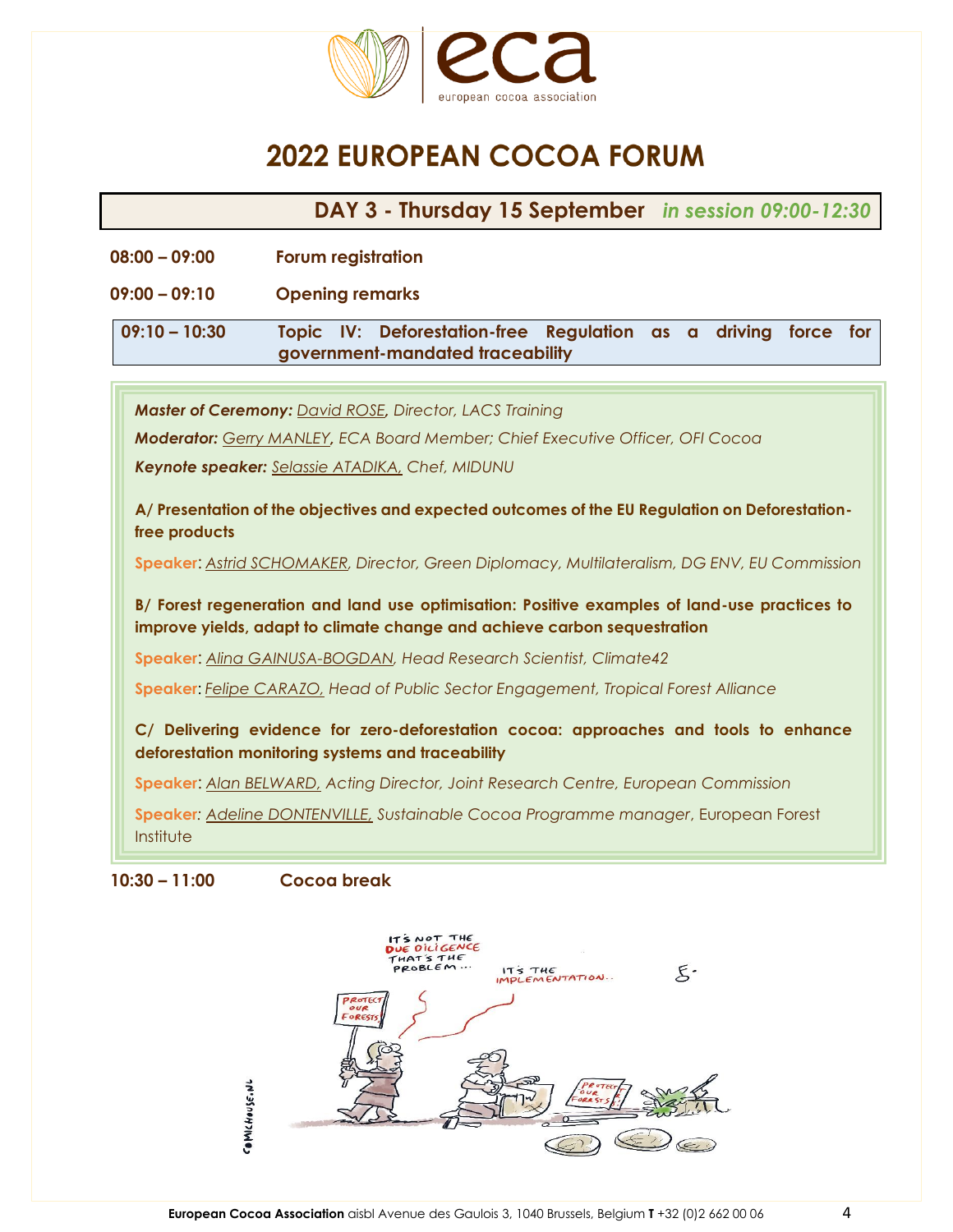

# **2022 EUROPEAN COCOA FORUM**

**DAY 3 - Thursday 15 September** *in session 09:00-12:30*

- **08:00 – 09:00 Forum registration**
- **09:00 – 09:10 Opening remarks**

**09:10 – 10:30 Topic IV: Deforestation-free Regulation as a driving force for government-mandated traceability**

*Master of Ceremony: David ROSE, Director, LACS Training*

*Moderator: Gerry MANLEY, ECA Board Member; Chief Executive Officer, OFI Cocoa*

*Keynote speaker: Selassie ATADIKA, Chef, MIDUNU*

**A/ Presentation of the objectives and expected outcomes of the EU Regulation on Deforestationfree products**

**Speaker**: *Astrid SCHOMAKER, Director, Green Diplomacy, Multilateralism, DG ENV, EU Commission*

**B/ Forest regeneration and land use optimisation: Positive examples of land-use practices to improve yields, adapt to climate change and achieve carbon sequestration** 

**Speaker**: *Alina GAINUSA-BOGDAN, Head Research Scientist, Climate42*

**Speaker**: *Felipe CARAZO, Head of Public Sector Engagement, Tropical Forest Alliance*

**C/ Delivering evidence for zero-deforestation cocoa: approaches and tools to enhance deforestation monitoring systems and traceability**

**Speaker**: *Alan BELWARD, Acting Director, Joint Research Centre, European Commission*

**Speaker***: Adeline DONTENVILLE, Sustainable Cocoa Programme manager*, European Forest **Institute** 

**10:30 – 11:00 Cocoa break**